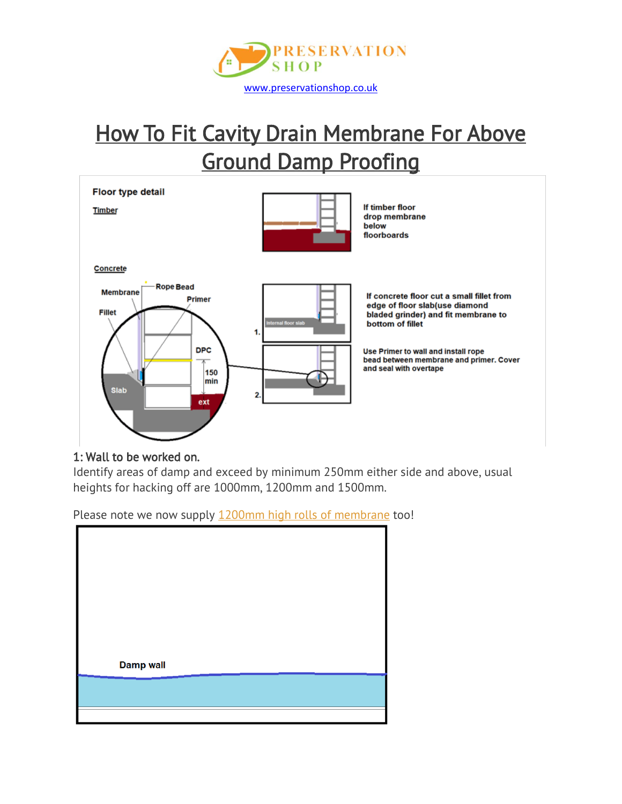

# **How To Fit Cavity Drain Membrane For Above** Ground Damp Proofing

Floor type detail

**Timber** 



If timber floor drop membrane below floorboards

Concrete



If concrete floor cut a small fillet from edge of floor slab(use diamond bladed grinder) and fit membrane to bottom of fillet

Use Primer to wall and install rope bead between membrane and primer. Cover and seal with overtape

## 1: Wall to be worked on.

Identify areas of damp and exceed by minimum 250mm either side and above, usual heights for hacking off are 1000mm, 1200mm and 1500mm.

Please note we now supply 1200mm high rolls of [membrane](https://www.preservationshop.co.uk/product/wykamol-cm3-mesh-cavity-drain-membrane-20m-x-1200mm-roll/) too!

| <b>Damp wall</b> |  |  |
|------------------|--|--|
|                  |  |  |
|                  |  |  |
|                  |  |  |
|                  |  |  |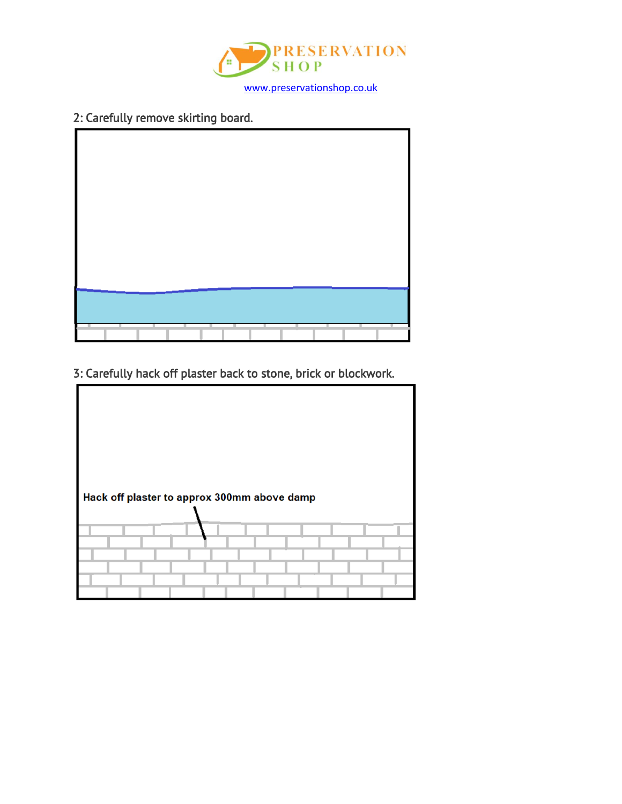

# 2: Carefully remove skirting board.



3: Carefully hack off plaster back to stone, brick or blockwork.

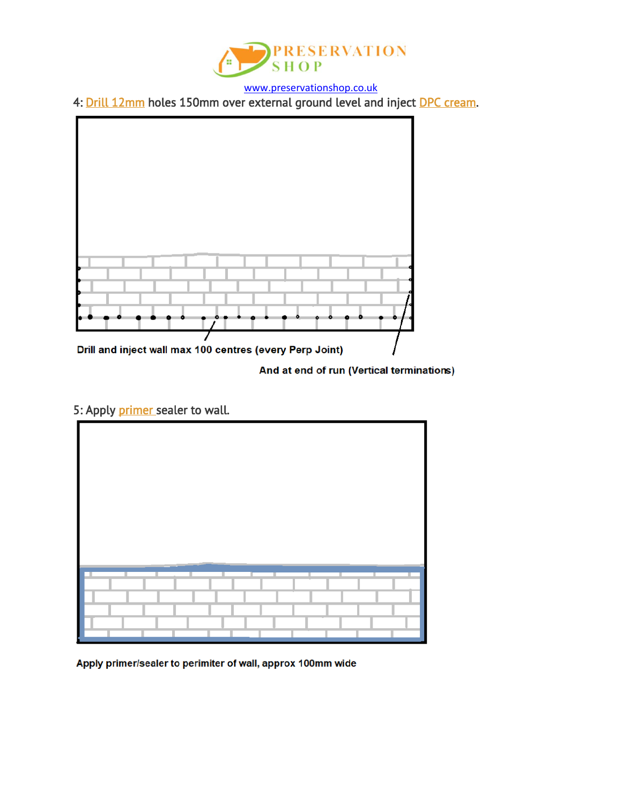

4: [Drill 12mm](https://www.preservationshop.co.uk/product/sds-drill-12mm-x-450mm/) holes 150mm over external ground level and inject [DPC cream.](https://www.preservationshop.co.uk/product/wykamol-ultracure-damp-proofing-cream-1-litre/)



And at end of run (Vertical terminations)

# 5: Apply [primer s](https://www.preservationshop.co.uk/product/wykamol-technoseal-dpm-5ltr-black/)ealer to wall.



Apply primer/sealer to perimiter of wall, approx 100mm wide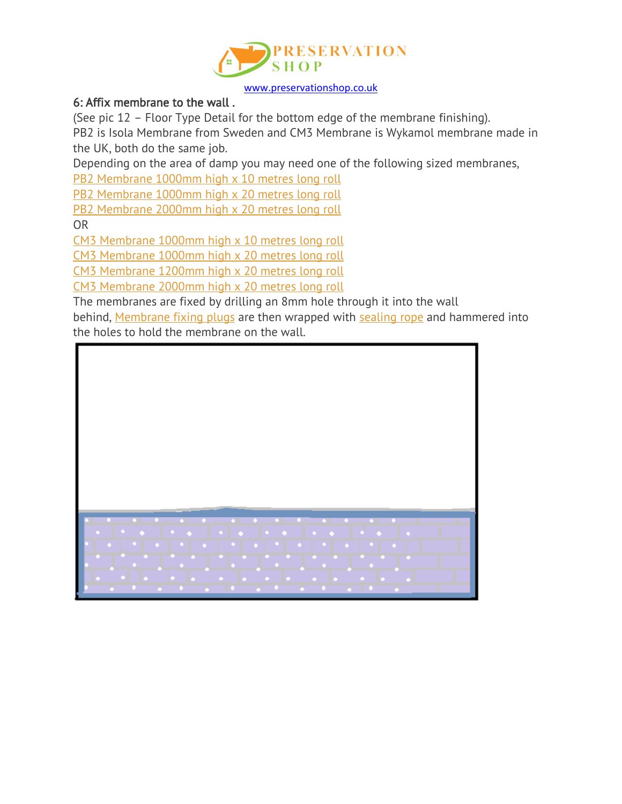

## 6: Affix membrane to the wall .

(See pic 12 – Floor Type Detail for the bottom edge of the membrane finishing).

PB2 is Isola Membrane from Sweden and CM3 Membrane is Wykamol membrane made in the UK, both do the same job.

Depending on the area of damp you may need one of the following sized membranes,

PB2 [Membrane](https://www.preservationshop.co.uk/product/triton-platon-pb2-cavity-drain-membrane-1m-x-10m/) 1000mm high x 10 metres long roll

PB2 [Membrane](https://www.preservationshop.co.uk/product/triton-platon-pb2-cavity-drain-membrane-1m-x-20m/) 1000mm high x 20 metres long roll

PB2 [Membrane](https://www.preservationshop.co.uk/product/triton-platon-pb2-cavity-drain-membrane-2m-x-20m/) 2000mm high x 20 metres long roll

OR

CM3 [Membrane](https://www.preservationshop.co.uk/product/wykamol-cm3-mesh-membrane-10-meter-roll-10m-x-1m/) 1000mm high x 10 metres long roll

CM3 [Membrane](https://www.preservationshop.co.uk/product/wykamol-cm3-mesh-membrane-20-meter-roll-20m-x-1m/) 1000mm high x 20 metres long roll

CM3 [Membrane](https://www.preservationshop.co.uk/product/wykamol-cm3-mesh-cavity-drain-membrane-20m-x-1200mm-roll/) 1200mm high x 20 metres long roll

CM3 [Membrane](https://www.preservationshop.co.uk/product/wykamol-cm3-mesh-membrane-20m-x-2m-roll/) 2000mm high x 20 metres long roll

The membranes are fixed by drilling an 8mm hole through it into the wall

behind, [Membrane](https://www.preservationshop.co.uk/product/eco-membrane-fixing-plugs-70mm-box-of-500/) fixing plugs are then wrapped with [sealing](https://www.preservationshop.co.uk/product/wykamol-rope-10mm-x-5m/) rope and hammered into the holes to hold the membrane on the wall.

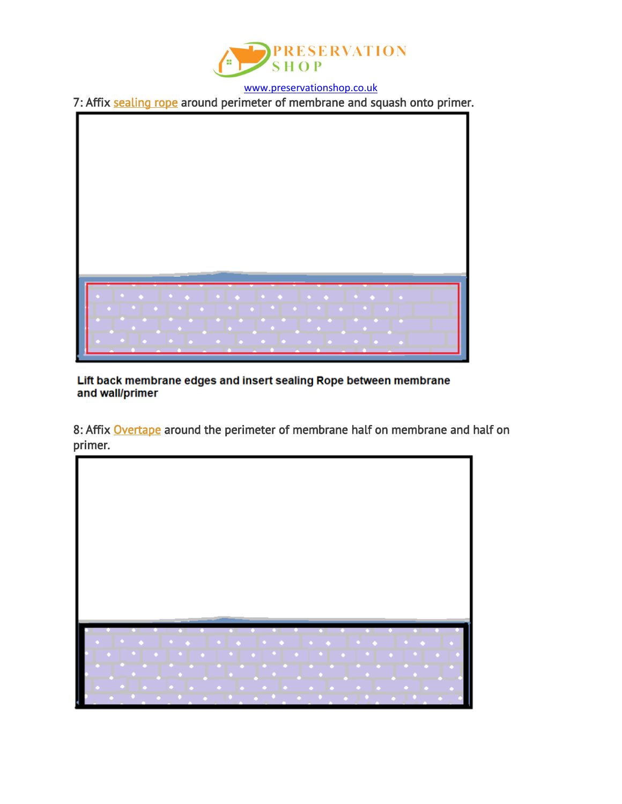

7: Affix [sealing rope](https://www.preservationshop.co.uk/product/wykamol-rope-10mm-x-5m/) around perimeter of membrane and squash onto primer.



Lift back membrane edges and insert sealing Rope between membrane and wall/primer

8: Affix [Overtape](https://www.preservationshop.co.uk/product/platon-overtape-1mm-x-115mm-x-25m/) around the perimeter of membrane half on membrane and half on primer.

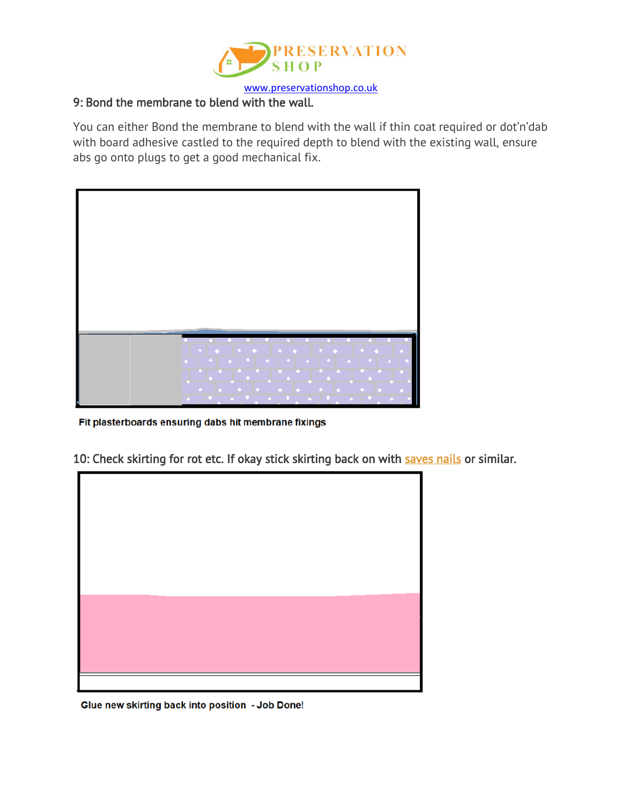

# 9: Bond the membrane to blend with the wall.

You can either Bond the membrane to blend with the wall if thin coat required or dot'n'dab with board adhesive castled to the required depth to blend with the existing wall, ensure abs go onto plugs to get a good mechanical fix.



Fit plasterboards ensuring dabs hit membrane fixings

10: Check skirting for rot etc. If okay stick skirting back on with [saves nails](https://www.preservationshop.co.uk/product/saves-nails-express-instant-grab-adhesive/) or similar.



Glue new skirting back into position - Job Done!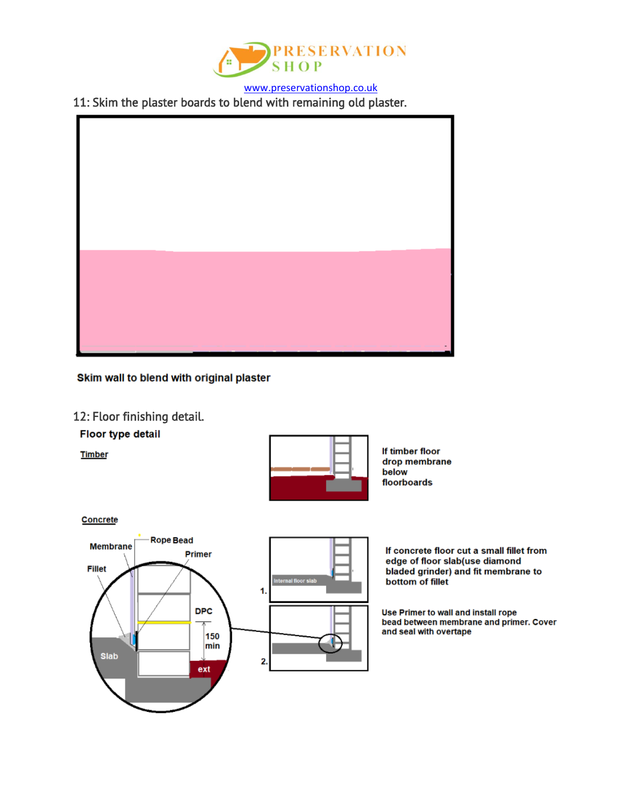

11: Skim the plaster boards to blend with remaining old plaster.



Skim wall to blend with original plaster

#### 12: Floor finishing detail.

**Floor type detail** 

**Timber** 



If timber floor drop membrane below floorboards

Concrete



If concrete floor cut a small fillet from edge of floor slab(use diamond bladed grinder) and fit membrane to bottom of fillet

Use Primer to wall and install rope bead between membrane and primer. Cover and seal with overtape